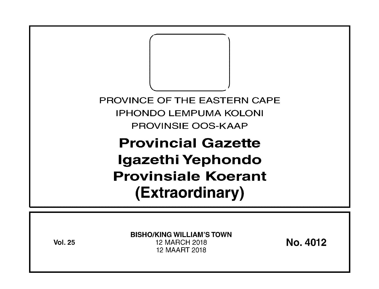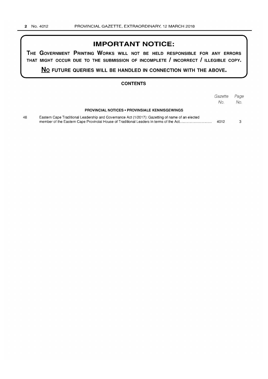#### **IMPORTANT NOTICE:**

**THE GOVERNMENT PRINTING WORKS WILL NOT BE HELD RESPONSIBLE FOR ANY ERRORS THAT MIGHT OCCUR DUE TO THE SUBMISSION OF INCOMPLETE I INCORRECT I ILLEGIBLE COPY.** 

**No FUTURE QUERIES WILL BE HANDLED IN CONNECTION WITH THE ABOVE.** 

#### **CONTENTS**

|    |                                                                                                  | Gazette<br>No. | Page<br>No. |
|----|--------------------------------------------------------------------------------------------------|----------------|-------------|
|    | <b>PROVINCIAL NOTICES • PROVINSIALE KENNISGEWINGS</b>                                            |                |             |
| 48 | Eastern Cape Traditional Leadership and Governance Act (1/2017): Gazetting of name of an elected | 4012           |             |